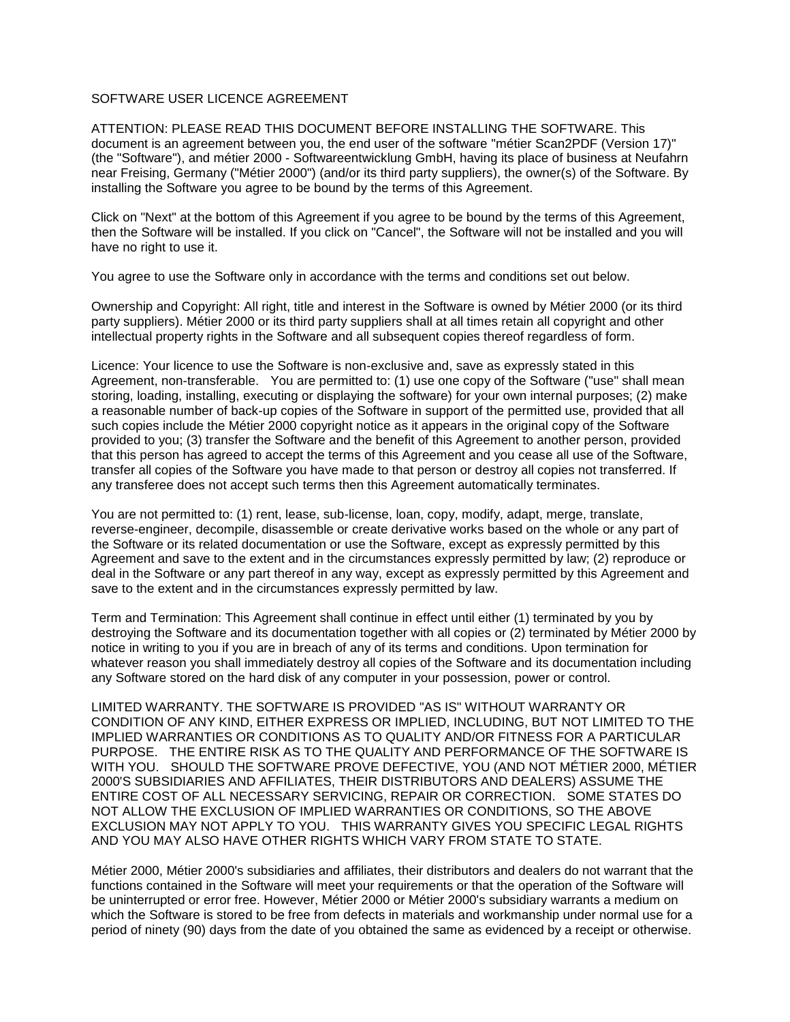## SOFTWARE USER LICENCE AGREEMENT

ATTENTION: PLEASE READ THIS DOCUMENT BEFORE INSTALLING THE SOFTWARE. This document is an agreement between you, the end user of the software "métier Scan2PDF (Version 17)" (the "Software"), and métier 2000 - Softwareentwicklung GmbH, having its place of business at Neufahrn near Freising, Germany ("Métier 2000") (and/or its third party suppliers), the owner(s) of the Software. By installing the Software you agree to be bound by the terms of this Agreement.

Click on "Next" at the bottom of this Agreement if you agree to be bound by the terms of this Agreement, then the Software will be installed. If you click on "Cancel", the Software will not be installed and you will have no right to use it.

You agree to use the Software only in accordance with the terms and conditions set out below.

Ownership and Copyright: All right, title and interest in the Software is owned by Métier 2000 (or its third party suppliers). Métier 2000 or its third party suppliers shall at all times retain all copyright and other intellectual property rights in the Software and all subsequent copies thereof regardless of form.

Licence: Your licence to use the Software is non-exclusive and, save as expressly stated in this Agreement, non-transferable. You are permitted to: (1) use one copy of the Software ("use" shall mean storing, loading, installing, executing or displaying the software) for your own internal purposes; (2) make a reasonable number of back-up copies of the Software in support of the permitted use, provided that all such copies include the Métier 2000 copyright notice as it appears in the original copy of the Software provided to you; (3) transfer the Software and the benefit of this Agreement to another person, provided that this person has agreed to accept the terms of this Agreement and you cease all use of the Software, transfer all copies of the Software you have made to that person or destroy all copies not transferred. If any transferee does not accept such terms then this Agreement automatically terminates.

You are not permitted to: (1) rent, lease, sub-license, loan, copy, modify, adapt, merge, translate, reverse-engineer, decompile, disassemble or create derivative works based on the whole or any part of the Software or its related documentation or use the Software, except as expressly permitted by this Agreement and save to the extent and in the circumstances expressly permitted by law; (2) reproduce or deal in the Software or any part thereof in any way, except as expressly permitted by this Agreement and save to the extent and in the circumstances expressly permitted by law.

Term and Termination: This Agreement shall continue in effect until either (1) terminated by you by destroying the Software and its documentation together with all copies or (2) terminated by Métier 2000 by notice in writing to you if you are in breach of any of its terms and conditions. Upon termination for whatever reason you shall immediately destroy all copies of the Software and its documentation including any Software stored on the hard disk of any computer in your possession, power or control.

LIMITED WARRANTY. THE SOFTWARE IS PROVIDED "AS IS" WITHOUT WARRANTY OR CONDITION OF ANY KIND, EITHER EXPRESS OR IMPLIED, INCLUDING, BUT NOT LIMITED TO THE IMPLIED WARRANTIES OR CONDITIONS AS TO QUALITY AND/OR FITNESS FOR A PARTICULAR PURPOSE. THE ENTIRE RISK AS TO THE QUALITY AND PERFORMANCE OF THE SOFTWARE IS WITH YOU. SHOULD THE SOFTWARE PROVE DEFECTIVE, YOU (AND NOT MÉTIER 2000, MÉTIER 2000'S SUBSIDIARIES AND AFFILIATES, THEIR DISTRIBUTORS AND DEALERS) ASSUME THE ENTIRE COST OF ALL NECESSARY SERVICING, REPAIR OR CORRECTION. SOME STATES DO NOT ALLOW THE EXCLUSION OF IMPLIED WARRANTIES OR CONDITIONS, SO THE ABOVE EXCLUSION MAY NOT APPLY TO YOU. THIS WARRANTY GIVES YOU SPECIFIC LEGAL RIGHTS AND YOU MAY ALSO HAVE OTHER RIGHTS WHICH VARY FROM STATE TO STATE.

Métier 2000, Métier 2000's subsidiaries and affiliates, their distributors and dealers do not warrant that the functions contained in the Software will meet your requirements or that the operation of the Software will be uninterrupted or error free. However, Métier 2000 or Métier 2000's subsidiary warrants a medium on which the Software is stored to be free from defects in materials and workmanship under normal use for a period of ninety (90) days from the date of you obtained the same as evidenced by a receipt or otherwise.